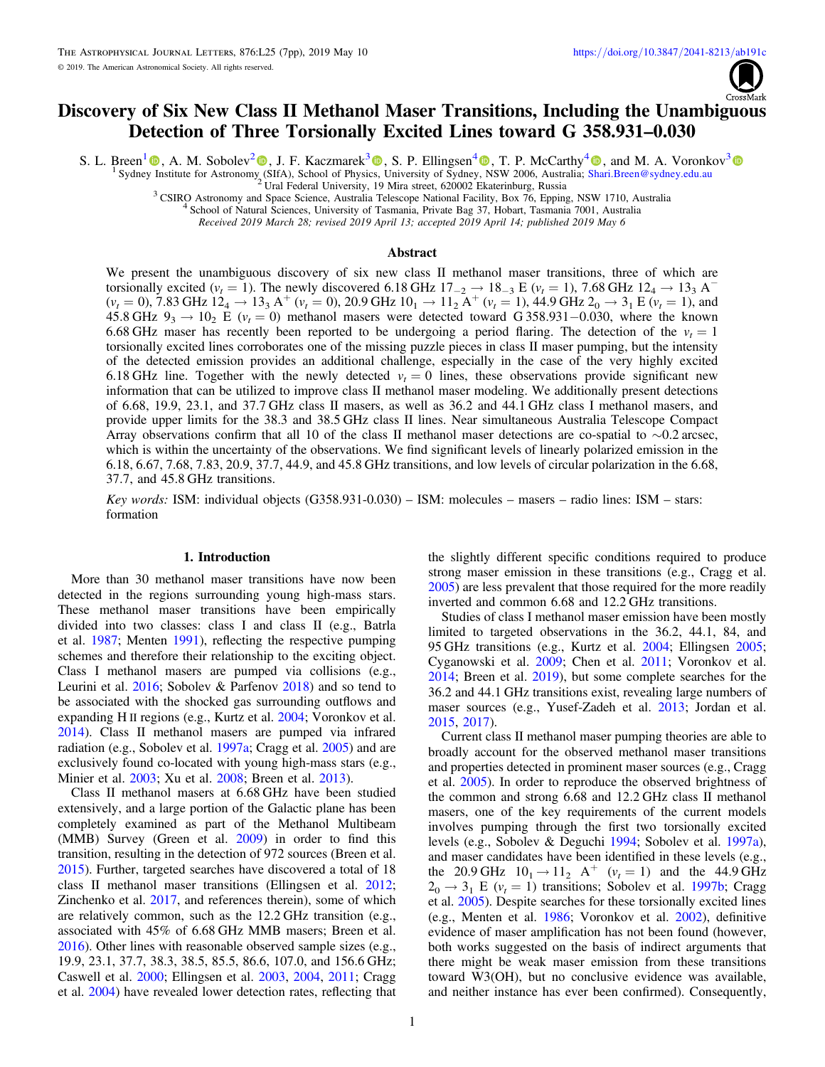

# Discovery of Six New Class II Methanol Maser Transitions, Including the Unambiguous Detection of Three Torsionally Excited Lines toward G 358.931–0.030

S. L. Breen<sup>[1](https://orcid.org/0000-0002-4047-0002)</sup>  $\Phi$ [,](https://orcid.org/0000-0001-9525-7981) A. M. Sobolev<sup>[2](https://orcid.org/0000-0001-7575-5254)</sup>  $\Phi$ , J. F. Kaczmarek<sup>[3](https://orcid.org/0000-0002-4931-4612)</sup>  $\Phi$ , S. P. Ellingsen<sup>[4](https://orcid.org/0000-0001-9525-7981)</sup>  $\Phi$ , T. P. McCarthy<sup>4</sup>  $\Phi$ , and M. A. Voronkov<sup>3</sup> S[y](https://orcid.org/0000-0002-4047-0002)dney [In](https://orcid.org/0000-0002-4047-0002)stitute for Astronomy [\(](https://orcid.org/0000-0001-7575-5254)SIfA), School of Physi[cs,](https://orcid.org/0000-0003-4810-7803) University of Sydne[y,](https://orcid.org/0000-0002-1363-5457) [N](https://orcid.org/0000-0002-1363-5457)SW 2006, Australia; [Shari.Breen@sydney.edu.au](mailto:Shari.Breen@sydney.edu.au) <sup>2</sup> Ural Federal University, 19 Mira street, 620002 Ekaterinburg, Russia<br><sup>3</sup> CSIRO Astronomy an

Received 2019 March 28; revised 2019 April 13; accepted 2019 April 14; published 2019 May 6

#### Abstract

We present the unambiguous discovery of six new class II methanol maser transitions, three of which are torsionally excited ( $v_t = 1$ ). The newly discovered 6.18 GHz  $17_{-2} \rightarrow 18_{-3}$  E ( $v_t = 1$ ), 7.68 GHz  $12_4 \rightarrow 13_3$  A<sup>−</sup>  $(v_t = 0)$ , 7.83 GHz  $12_4 \rightarrow 13_3$  A<sup>+</sup>  $(v_t = 0)$ , 20.9 GHz  $10_1 \rightarrow 11_2$  A<sup>+</sup>  $(v_t = 1)$ , 44.9 GHz  $2_0 \rightarrow 3_1$  E  $(v_t = 1)$ , and 45.8 GHz  $9_3 \rightarrow 10_2$  E ( $v_t = 0$ ) methanol masers were detected toward G 358.931–0.030, where the known 6.68 GHz maser has recently been reported to be undergoing a period flaring. The detection of the  $v_t = 1$ torsionally excited lines corroborates one of the missing puzzle pieces in class II maser pumping, but the intensity of the detected emission provides an additional challenge, especially in the case of the very highly excited 6.18 GHz line. Together with the newly detected  $v_t = 0$  lines, these observations provide significant new information that can be utilized to improve class II methanol maser modeling. We additionally present detections of 6.68, 19.9, 23.1, and 37.7 GHz class II masers, as well as 36.2 and 44.1 GHz class I methanol masers, and provide upper limits for the 38.3 and 38.5 GHz class II lines. Near simultaneous Australia Telescope Compact Array observations confirm that all 10 of the class II methanol maser detections are co-spatial to ∼0.2 arcsec, which is within the uncertainty of the observations. We find significant levels of linearly polarized emission in the 6.18, 6.67, 7.68, 7.83, 20.9, 37.7, 44.9, and 45.8 GHz transitions, and low levels of circular polarization in the 6.68, 37.7, and 45.8 GHz transitions.

Key words: ISM: individual objects (G358.931-0.030) – ISM: molecules – masers – radio lines: ISM – stars: formation

#### 1. Introduction

More than 30 methanol maser transitions have now been detected in the regions surrounding young high-mass stars. These methanol maser transitions have been empirically divided into two classes: class I and class II (e.g., Batrla et al. [1987](#page-6-0); Menten [1991](#page-6-0)), reflecting the respective pumping schemes and therefore their relationship to the exciting object. Class I methanol masers are pumped via collisions (e.g., Leurini et al. [2016](#page-6-0); Sobolev & Parfenov [2018](#page-6-0)) and so tend to be associated with the shocked gas surrounding outflows and expanding H II regions (e.g., Kurtz et al. [2004](#page-6-0); Voronkov et al. [2014](#page-6-0)). Class II methanol masers are pumped via infrared radiation (e.g., Sobolev et al. [1997a;](#page-6-0) Cragg et al. [2005](#page-6-0)) and are exclusively found co-located with young high-mass stars (e.g., Minier et al. [2003](#page-6-0); Xu et al. [2008;](#page-6-0) Breen et al. [2013](#page-6-0)).

Class II methanol masers at 6.68 GHz have been studied extensively, and a large portion of the Galactic plane has been completely examined as part of the Methanol Multibeam (MMB) Survey (Green et al. [2009](#page-6-0)) in order to find this transition, resulting in the detection of 972 sources (Breen et al. [2015](#page-6-0)). Further, targeted searches have discovered a total of 18 class II methanol maser transitions (Ellingsen et al. [2012](#page-6-0); Zinchenko et al. [2017](#page-6-0), and references therein), some of which are relatively common, such as the 12.2 GHz transition (e.g., associated with 45% of 6.68 GHz MMB masers; Breen et al. [2016](#page-6-0)). Other lines with reasonable observed sample sizes (e.g., 19.9, 23.1, 37.7, 38.3, 38.5, 85.5, 86.6, 107.0, and 156.6 GHz; Caswell et al. [2000;](#page-6-0) Ellingsen et al. [2003,](#page-6-0) [2004,](#page-6-0) [2011;](#page-6-0) Cragg et al. [2004](#page-6-0)) have revealed lower detection rates, reflecting that

the slightly different specific conditions required to produce strong maser emission in these transitions (e.g., Cragg et al. [2005](#page-6-0)) are less prevalent that those required for the more readily inverted and common 6.68 and 12.2 GHz transitions.

Studies of class I methanol maser emission have been mostly limited to targeted observations in the 36.2, 44.1, 84, and 95 GHz transitions (e.g., Kurtz et al. [2004;](#page-6-0) Ellingsen [2005](#page-6-0); Cyganowski et al. [2009;](#page-6-0) Chen et al. [2011;](#page-6-0) Voronkov et al. [2014;](#page-6-0) Breen et al. [2019](#page-6-0)), but some complete searches for the 36.2 and 44.1 GHz transitions exist, revealing large numbers of maser sources (e.g., Yusef-Zadeh et al. [2013;](#page-6-0) Jordan et al. [2015,](#page-6-0) [2017](#page-6-0)).

Current class II methanol maser pumping theories are able to broadly account for the observed methanol maser transitions and properties detected in prominent maser sources (e.g., Cragg et al. [2005](#page-6-0)). In order to reproduce the observed brightness of the common and strong 6.68 and 12.2 GHz class II methanol masers, one of the key requirements of the current models involves pumping through the first two torsionally excited levels (e.g., Sobolev & Deguchi [1994;](#page-6-0) Sobolev et al. [1997a](#page-6-0)), and maser candidates have been identified in these levels (e.g., the 20.9 GHz  $10_1 \rightarrow 11_2$  A<sup>+</sup> ( $v_t = 1$ ) and the 44.9 GHz  $2_0 \rightarrow 3_1$  E ( $v_t = 1$ ) transitions; Sobolev et al. [1997b;](#page-6-0) Cragg et al. [2005](#page-6-0)). Despite searches for these torsionally excited lines (e.g., Menten et al. [1986](#page-6-0); Voronkov et al. [2002](#page-6-0)), definitive evidence of maser amplification has not been found (however, both works suggested on the basis of indirect arguments that there might be weak maser emission from these transitions toward W3(OH), but no conclusive evidence was available, and neither instance has ever been confirmed). Consequently,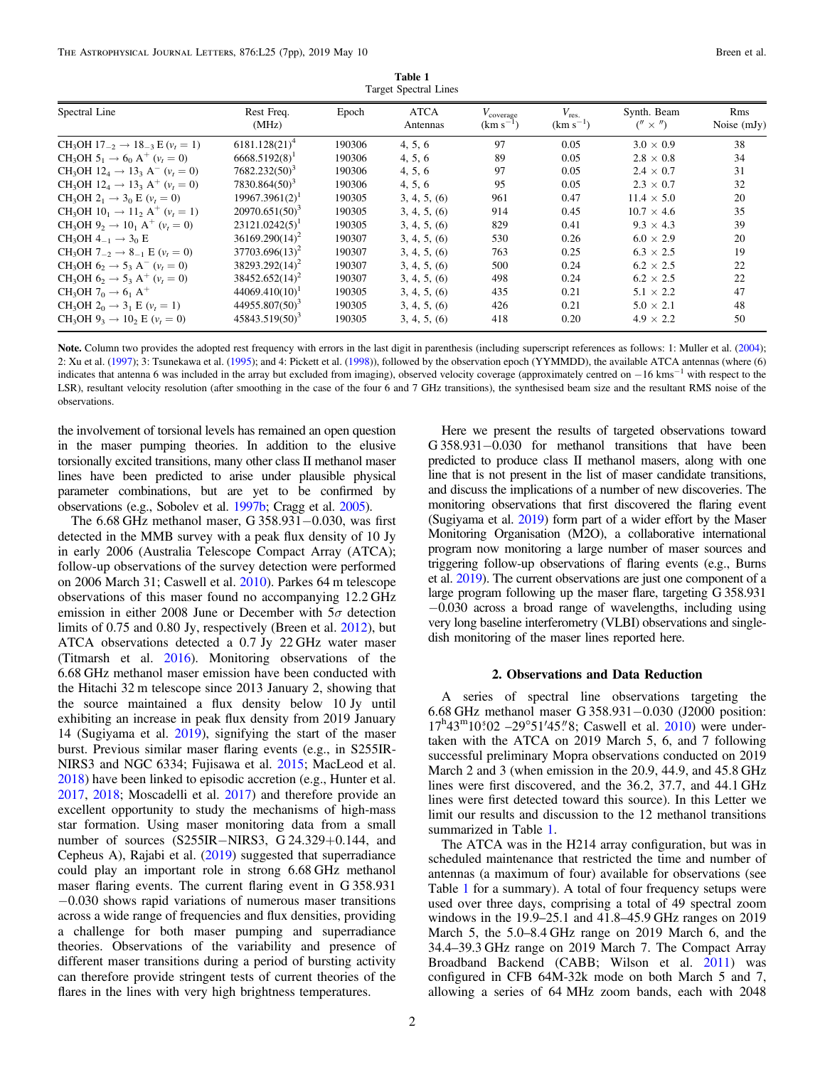| Table 1               |  |  |  |  |  |  |  |  |
|-----------------------|--|--|--|--|--|--|--|--|
| Target Spectral Lines |  |  |  |  |  |  |  |  |

<span id="page-1-0"></span>

| Spectral Line                                                                                | Rest Freq.<br>(MHz)        | Epoch  | <b>ATCA</b><br>Antennas | $V_{\text{coverage}}$<br>$(km s-1)$ | $V_{\text{res.}}$<br>$(km s^{-1})$ | Synth. Beam<br>$\binom{n}{x}$ | Rms<br>Noise $(mJy)$ |
|----------------------------------------------------------------------------------------------|----------------------------|--------|-------------------------|-------------------------------------|------------------------------------|-------------------------------|----------------------|
| CH <sub>3</sub> OH 17 <sub>-2</sub> $\rightarrow$ 18 <sub>-3</sub> E ( $v_t = 1$ )           | $6181.128(21)^4$           | 190306 | 4, 5, 6                 | 97                                  | 0.05                               | $3.0 \times 0.9$              | 38                   |
| CH <sub>3</sub> OH 5 <sub>1</sub> $\rightarrow$ 6 <sub>0</sub> A <sup>+</sup> ( $v_t$ = 0)   | $6668.5192(8)^1$           | 190306 | 4, 5, 6                 | 89                                  | 0.05                               | $2.8 \times 0.8$              | 34                   |
| CH <sub>3</sub> OH 12 <sub>4</sub> $\rightarrow$ 13 <sub>3</sub> A <sup>-</sup> ( $v_t$ = 0) | $7682.232(50)^3$           | 190306 | 4, 5, 6                 | 97                                  | 0.05                               | $2.4 \times 0.7$              | 31                   |
| CH <sub>3</sub> OH 12 <sub>4</sub> $\rightarrow$ 13 <sub>3</sub> A <sup>+</sup> ( $v_t$ = 0) | $7830.864(50)^3$           | 190306 | 4, 5, 6                 | 95                                  | 0.05                               | $2.3 \times 0.7$              | 32                   |
| CH <sub>3</sub> OH $2_1 \rightarrow 3_0$ E ( $v_t = 0$ )                                     | $19967.3961(2)^1$          | 190305 | 3, 4, 5, (6)            | 961                                 | 0.47                               | $11.4 \times 5.0$             | 20                   |
| CH <sub>3</sub> OH 10 <sub>1</sub> $\rightarrow$ 11 <sub>2</sub> A <sup>+</sup> ( $v_t$ = 1) | $20970.651(50)^3$          | 190305 | 3, 4, 5, (6)            | 914                                 | 0.45                               | $10.7 \times 4.6$             | 35                   |
| CH <sub>3</sub> OH $9_2 \rightarrow 10_1$ A <sup>+</sup> ( $v_t = 0$ )                       | $23121.0242(5)^1$          | 190305 | 3, 4, 5, (6)            | 829                                 | 0.41                               | $9.3 \times 4.3$              | 39                   |
| CH <sub>3</sub> OH $4_{-1} \rightarrow 3_0$ E                                                | $36169.290(14)^2$          | 190307 | 3, 4, 5, (6)            | 530                                 | 0.26                               | $6.0 \times 2.9$              | 20                   |
| CH <sub>3</sub> OH $7_{-2} \rightarrow 8_{-1}$ E ( $v_t = 0$ )                               | $37703.696(13)^2$          | 190307 | 3, 4, 5, (6)            | 763                                 | 0.25                               | $6.3 \times 2.5$              | 19                   |
| CH <sub>3</sub> OH $6_2 \rightarrow 5_3$ A <sup>-</sup> ( $v_t = 0$ )                        | $38293.292(14)^2$          | 190307 | 3, 4, 5, (6)            | 500                                 | 0.24                               | $6.2 \times 2.5$              | 22                   |
| CH <sub>3</sub> OH $6_2 \rightarrow 5_3$ A <sup>+</sup> ( $v_t = 0$ )                        | $38452.652(14)^2$          | 190307 | 3, 4, 5, (6)            | 498                                 | 0.24                               | $6.2 \times 2.5$              | 22                   |
| CH <sub>3</sub> OH $7_0 \rightarrow 6_1$ A <sup>+</sup>                                      | $44069.410(10)^1$          | 190305 | 3, 4, 5, (6)            | 435                                 | 0.21                               | $5.1 \times 2.2$              | 47                   |
| CH <sub>3</sub> OH $2_0 \rightarrow 3_1$ E ( $v_t = 1$ )                                     | 44955.807(50) <sup>3</sup> | 190305 | 3, 4, 5, (6)            | 426                                 | 0.21                               | $5.0 \times 2.1$              | 48                   |
| CH <sub>3</sub> OH $9_3 \rightarrow 10_2$ E ( $v_t = 0$ )                                    | 45843.519(50) <sup>3</sup> | 190305 | 3, 4, 5, (6)            | 418                                 | 0.20                               | $4.9 \times 2.2$              | 50                   |

Note. Column two provides the adopted rest frequency with errors in the last digit in parenthesis (including superscript references as follows: 1: Muller et al. ([2004](#page-6-0)); 2: Xu et al. ([1997](#page-6-0)); 3: Tsunekawa et al. ([1995](#page-6-0)); and 4: Pickett et al. ([1998](#page-6-0))), followed by the observation epoch (YYMMDD), the available ATCA antennas (where (6) indicates that antenna 6 was included in the array but excluded from imaging), observed velocity coverage (approximately centred on −16 kms−<sup>1</sup> with respect to the LSR), resultant velocity resolution (after smoothing in the case of the four 6 and 7 GHz transitions), the synthesised beam size and the resultant RMS noise of the observations.

the involvement of torsional levels has remained an open question in the maser pumping theories. In addition to the elusive torsionally excited transitions, many other class II methanol maser lines have been predicted to arise under plausible physical parameter combinations, but are yet to be confirmed by observations (e.g., Sobolev et al. [1997b](#page-6-0); Cragg et al. [2005](#page-6-0)).

The 6.68 GHz methanol maser, G 358.931−0.030, was first detected in the MMB survey with a peak flux density of 10 Jy in early 2006 (Australia Telescope Compact Array (ATCA); follow-up observations of the survey detection were performed on 2006 March 31; Caswell et al. [2010](#page-6-0)). Parkes 64 m telescope observations of this maser found no accompanying 12.2 GHz emission in either 2008 June or December with  $5\sigma$  detection limits of 0.75 and 0.80 Jy, respectively (Breen et al. [2012](#page-6-0)), but ATCA observations detected a 0.7 Jy 22 GHz water maser (Titmarsh et al. [2016](#page-6-0)). Monitoring observations of the 6.68 GHz methanol maser emission have been conducted with the Hitachi 32 m telescope since 2013 January 2, showing that the source maintained a flux density below 10 Jy until exhibiting an increase in peak flux density from 2019 January 14 (Sugiyama et al. [2019](#page-6-0)), signifying the start of the maser burst. Previous similar maser flaring events (e.g., in S255IR-NIRS3 and NGC 6334; Fujisawa et al. [2015;](#page-6-0) MacLeod et al. [2018](#page-6-0)) have been linked to episodic accretion (e.g., Hunter et al. [2017,](#page-6-0) [2018;](#page-6-0) Moscadelli et al. [2017](#page-6-0)) and therefore provide an excellent opportunity to study the mechanisms of high-mass star formation. Using maser monitoring data from a small number of sources (S255IR−NIRS3, G 24.329+0.144, and Cepheus A), Rajabi et al. ([2019](#page-6-0)) suggested that superradiance could play an important role in strong 6.68 GHz methanol maser flaring events. The current flaring event in G 358.931 −0.030 shows rapid variations of numerous maser transitions across a wide range of frequencies and flux densities, providing a challenge for both maser pumping and superradiance theories. Observations of the variability and presence of different maser transitions during a period of bursting activity can therefore provide stringent tests of current theories of the flares in the lines with very high brightness temperatures.

Here we present the results of targeted observations toward G 358.931−0.030 for methanol transitions that have been predicted to produce class II methanol masers, along with one line that is not present in the list of maser candidate transitions, and discuss the implications of a number of new discoveries. The monitoring observations that first discovered the flaring event (Sugiyama et al. [2019](#page-6-0)) form part of a wider effort by the Maser Monitoring Organisation (M2O), a collaborative international program now monitoring a large number of maser sources and triggering follow-up observations of flaring events (e.g., Burns et al. [2019](#page-6-0)). The current observations are just one component of a large program following up the maser flare, targeting G 358.931 −0.030 across a broad range of wavelengths, including using very long baseline interferometry (VLBI) observations and singledish monitoring of the maser lines reported here.

#### 2. Observations and Data Reduction

A series of spectral line observations targeting the 6.68 GHz methanol maser G 358.931−0.030 (J2000 position: 17<sup>h</sup>43<sup>m</sup>10<sup>5</sup>02 -29°51′45″8; Caswell et al. [2010](#page-6-0)) were undertaken with the ATCA on 2019 March 5, 6, and 7 following successful preliminary Mopra observations conducted on 2019 March 2 and 3 (when emission in the 20.9, 44.9, and 45.8 GHz lines were first discovered, and the 36.2, 37.7, and 44.1 GHz lines were first detected toward this source). In this Letter we limit our results and discussion to the 12 methanol transitions summarized in Table 1.

The ATCA was in the H214 array configuration, but was in scheduled maintenance that restricted the time and number of antennas (a maximum of four) available for observations (see Table 1 for a summary). A total of four frequency setups were used over three days, comprising a total of 49 spectral zoom windows in the 19.9–25.1 and 41.8–45.9 GHz ranges on 2019 March 5, the 5.0–8.4 GHz range on 2019 March 6, and the 34.4–39.3 GHz range on 2019 March 7. The Compact Array Broadband Backend (CABB; Wilson et al. [2011](#page-6-0)) was configured in CFB 64M-32k mode on both March 5 and 7, allowing a series of 64 MHz zoom bands, each with 2048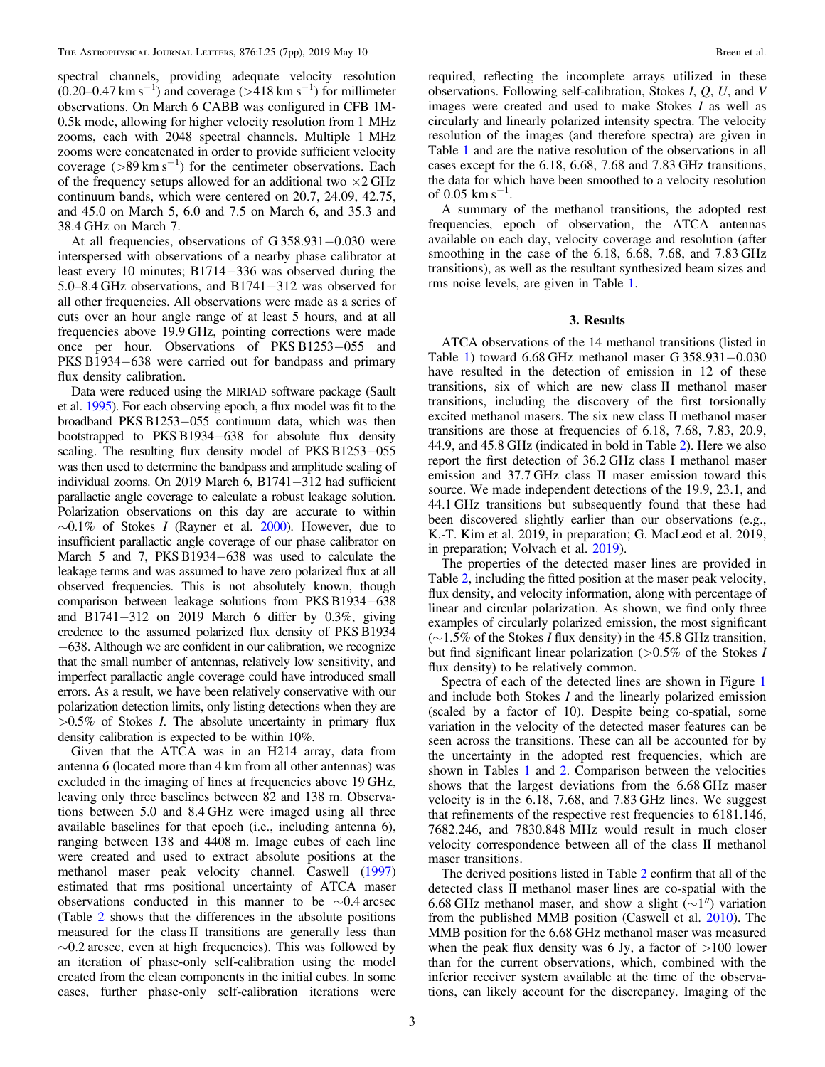spectral channels, providing adequate velocity resolution  $(0.20-0.47 \text{ km s}^{-1})$  and coverage (>418 km s<sup>-1</sup>) for millimeter observations. On March 6 CABB was configured in CFB 1M-0.5k mode, allowing for higher velocity resolution from 1 MHz zooms, each with 2048 spectral channels. Multiple 1 MHz zooms were concatenated in order to provide sufficient velocity coverage  $(>89 \text{ km s}^{-1})$  for the centimeter observations. Each of the frequency setups allowed for an additional two  $\times$ 2 GHz continuum bands, which were centered on 20.7, 24.09, 42.75, and 45.0 on March 5, 6.0 and 7.5 on March 6, and 35.3 and 38.4 GHz on March 7.

At all frequencies, observations of G 358.931−0.030 were interspersed with observations of a nearby phase calibrator at least every 10 minutes; B1714−336 was observed during the 5.0–8.4 GHz observations, and B1741−312 was observed for all other frequencies. All observations were made as a series of cuts over an hour angle range of at least 5 hours, and at all frequencies above 19.9 GHz, pointing corrections were made once per hour. Observations of PKS B1253−055 and PKS B1934−638 were carried out for bandpass and primary flux density calibration.

Data were reduced using the MIRIAD software package (Sault et al. [1995](#page-6-0)). For each observing epoch, a flux model was fit to the broadband PKS B1253−055 continuum data, which was then bootstrapped to PKS B1934−638 for absolute flux density scaling. The resulting flux density model of PKS B1253–055 was then used to determine the bandpass and amplitude scaling of individual zooms. On 2019 March 6, B1741−312 had sufficient parallactic angle coverage to calculate a robust leakage solution. Polarization observations on this day are accurate to within  $\sim$ 0.1% of Stokes I (Rayner et al. [2000](#page-6-0)). However, due to insufficient parallactic angle coverage of our phase calibrator on March 5 and 7, PKS B1934−638 was used to calculate the leakage terms and was assumed to have zero polarized flux at all observed frequencies. This is not absolutely known, though comparison between leakage solutions from PKS B1934−638 and B1741−312 on 2019 March 6 differ by 0.3%, giving credence to the assumed polarized flux density of PKS B1934 −638. Although we are confident in our calibration, we recognize that the small number of antennas, relatively low sensitivity, and imperfect parallactic angle coverage could have introduced small errors. As a result, we have been relatively conservative with our polarization detection limits, only listing detections when they are  $>0.5\%$  of Stokes *I*. The absolute uncertainty in primary flux density calibration is expected to be within 10%.

Given that the ATCA was in an H214 array, data from antenna 6 (located more than 4 km from all other antennas) was excluded in the imaging of lines at frequencies above 19 GHz, leaving only three baselines between 82 and 138 m. Observations between 5.0 and 8.4 GHz were imaged using all three available baselines for that epoch (i.e., including antenna 6), ranging between 138 and 4408 m. Image cubes of each line were created and used to extract absolute positions at the methanol maser peak velocity channel. Caswell ([1997](#page-6-0)) estimated that rms positional uncertainty of ATCA maser observations conducted in this manner to be ∼0.4 arcsec (Table [2](#page-3-0) shows that the differences in the absolute positions measured for the class II transitions are generally less than ∼0.2 arcsec, even at high frequencies). This was followed by an iteration of phase-only self-calibration using the model created from the clean components in the initial cubes. In some cases, further phase-only self-calibration iterations were

required, reflecting the incomplete arrays utilized in these observations. Following self-calibration, Stokes I, Q, U, and V images were created and used to make Stokes I as well as circularly and linearly polarized intensity spectra. The velocity resolution of the images (and therefore spectra) are given in Table [1](#page-1-0) and are the native resolution of the observations in all cases except for the 6.18, 6.68, 7.68 and 7.83 GHz transitions, the data for which have been smoothed to a velocity resolution of 0.05  $\mathrm{km \, s}^{-1}$ .

A summary of the methanol transitions, the adopted rest frequencies, epoch of observation, the ATCA antennas available on each day, velocity coverage and resolution (after smoothing in the case of the 6.18, 6.68, 7.68, and 7.83 GHz transitions), as well as the resultant synthesized beam sizes and rms noise levels, are given in Table [1](#page-1-0).

#### 3. Results

ATCA observations of the 14 methanol transitions (listed in Table [1](#page-1-0)) toward 6.68 GHz methanol maser G 358.931−0.030 have resulted in the detection of emission in 12 of these transitions, six of which are new class II methanol maser transitions, including the discovery of the first torsionally excited methanol masers. The six new class II methanol maser transitions are those at frequencies of 6.18, 7.68, 7.83, 20.9, 44.9, and 45.8 GHz (indicated in bold in Table [2](#page-3-0)). Here we also report the first detection of 36.2 GHz class I methanol maser emission and 37.7 GHz class II maser emission toward this source. We made independent detections of the 19.9, 23.1, and 44.1 GHz transitions but subsequently found that these had been discovered slightly earlier than our observations (e.g., K.-T. Kim et al. 2019, in preparation; G. MacLeod et al. 2019, in preparation; Volvach et al. [2019](#page-6-0)).

The properties of the detected maser lines are provided in Table [2,](#page-3-0) including the fitted position at the maser peak velocity, flux density, and velocity information, along with percentage of linear and circular polarization. As shown, we find only three examples of circularly polarized emission, the most significant (∼1.5% of the Stokes I flux density) in the 45.8 GHz transition, but find significant linear polarization  $(>0.5\%$  of the Stokes I flux density) to be relatively common.

Spectra of each of the detected lines are shown in Figure [1](#page-4-0) and include both Stokes I and the linearly polarized emission (scaled by a factor of 10). Despite being co-spatial, some variation in the velocity of the detected maser features can be seen across the transitions. These can all be accounted for by the uncertainty in the adopted rest frequencies, which are shown in Tables [1](#page-1-0) and [2.](#page-3-0) Comparison between the velocities shows that the largest deviations from the 6.68 GHz maser velocity is in the 6.18, 7.68, and 7.83 GHz lines. We suggest that refinements of the respective rest frequencies to 6181.146, 7682.246, and 7830.848 MHz would result in much closer velocity correspondence between all of the class II methanol maser transitions.

The derived positions listed in Table [2](#page-3-0) confirm that all of the detected class II methanol maser lines are co-spatial with the 6.68 GHz methanol maser, and show a slight  $(\sim 1'')$  variation from the published MMB position (Caswell et al. [2010](#page-6-0)). The MMB position for the 6.68 GHz methanol maser was measured when the peak flux density was 6 Jy, a factor of  $>100$  lower than for the current observations, which, combined with the inferior receiver system available at the time of the observations, can likely account for the discrepancy. Imaging of the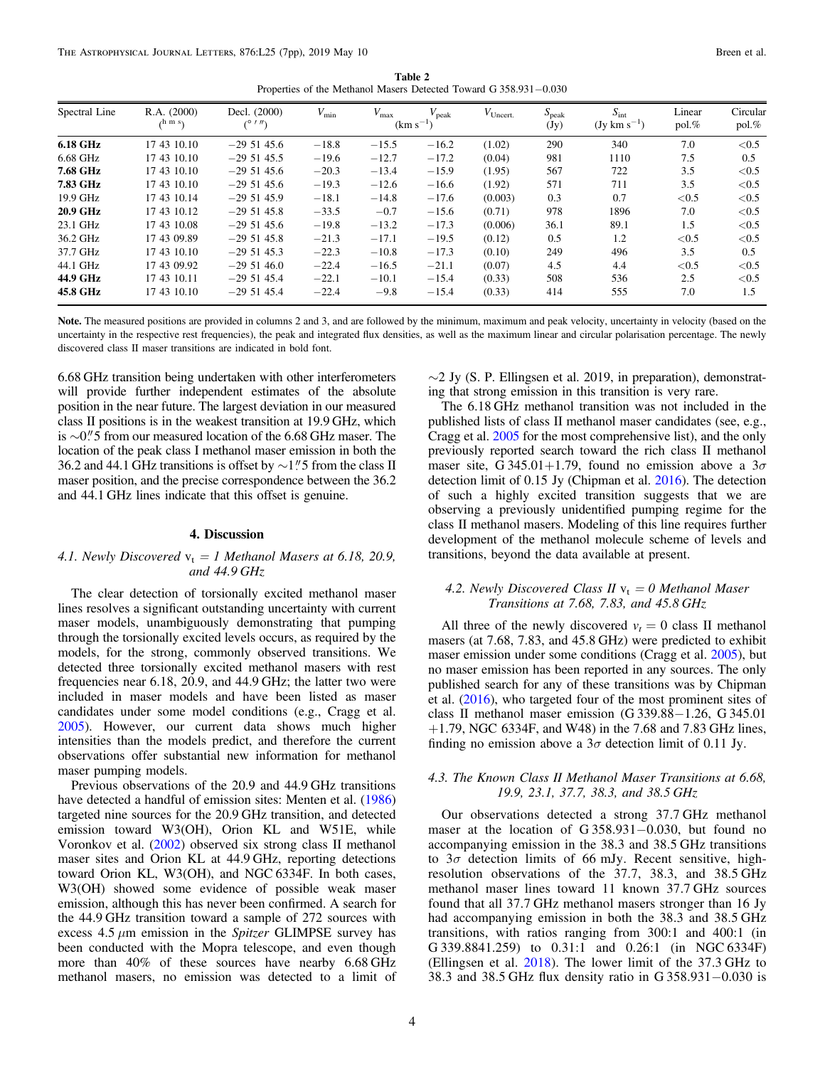Table 2 Properties of the Methanol Masers Detected Toward G 358.931−0.030

<span id="page-3-0"></span>

| Spectral Line   | R.A. (2000)<br>$\Lambda$ m s | Decl. (2000)<br>(01) | $V_{\rm min}$ | $V_{\rm max}$ | $V_{\rm peak}$<br>$(km s^{-1})$ | $V_{\text{Uncert.}}$ | $S_{\rm peak}$<br>(Jy) | $S_{\rm int}$<br>$(Jy \text{ km s}^{-1})$ | Linear<br>pol. % | Circular<br>pol. % |
|-----------------|------------------------------|----------------------|---------------|---------------|---------------------------------|----------------------|------------------------|-------------------------------------------|------------------|--------------------|
| 6.18 GHz        | 17 43 10.10                  | $-295145.6$          | $-18.8$       | $-15.5$       | $-16.2$                         | (1.02)               | 290                    | 340                                       | 7.0              | < 0.5              |
| 6.68 GHz        | 17 43 10.10                  | $-295145.5$          | $-19.6$       | $-12.7$       | $-17.2$                         | (0.04)               | 981                    | 1110                                      | 7.5              | 0.5                |
| 7.68 GHz        | 17 43 10.10                  | $-295145.6$          | $-20.3$       | $-13.4$       | $-15.9$                         | (1.95)               | 567                    | 722                                       | 3.5              | < 0.5              |
| 7.83 GHz        | 17 43 10.10                  | $-295145.6$          | $-19.3$       | $-12.6$       | $-16.6$                         | (1.92)               | 571                    | 711                                       | 3.5              | < 0.5              |
| 19.9 GHz        | 17 43 10.14                  | $-295145.9$          | $-18.1$       | $-14.8$       | $-17.6$                         | (0.003)              | 0.3                    | 0.7                                       | ${<}0.5$         | < 0.5              |
| <b>20.9 GHz</b> | 17 43 10.12                  | $-295145.8$          | $-33.5$       | $-0.7$        | $-15.6$                         | (0.71)               | 978                    | 1896                                      | 7.0              | < 0.5              |
| 23.1 GHz        | 17 43 10.08                  | $-29,51,45.6$        | $-19.8$       | $-13.2$       | $-17.3$                         | (0.006)              | 36.1                   | 89.1                                      | 1.5              | < 0.5              |
| 36.2 GHz        | 17 43 09.89                  | $-295145.8$          | $-21.3$       | $-17.1$       | $-19.5$                         | (0.12)               | 0.5                    | 1.2                                       | < 0.5            | < 0.5              |
| 37.7 GHz        | 17 43 10.10                  | $-295145.3$          | $-22.3$       | $-10.8$       | $-17.3$                         | (0.10)               | 249                    | 496                                       | 3.5              | 0.5                |
| 44.1 GHz        | 17 43 09.92                  | $-295146.0$          | $-22.4$       | $-16.5$       | $-21.1$                         | (0.07)               | 4.5                    | 4.4                                       | < 0.5            | < 0.5              |
| 44.9 GHz        | 17 43 10.11                  | $-295145.4$          | $-22.1$       | $-10.1$       | $-15.4$                         | (0.33)               | 508                    | 536                                       | 2.5              | < 0.5              |
| 45.8 GHz        | 17 43 10.10                  | $-295145.4$          | $-22.4$       | $-9.8$        | $-15.4$                         | (0.33)               | 414                    | 555                                       | 7.0              | 1.5                |

Note. The measured positions are provided in columns 2 and 3, and are followed by the minimum, maximum and peak velocity, uncertainty in velocity (based on the uncertainty in the respective rest frequencies), the peak and integrated flux densities, as well as the maximum linear and circular polarisation percentage. The newly discovered class II maser transitions are indicated in bold font.

6.68 GHz transition being undertaken with other interferometers will provide further independent estimates of the absolute position in the near future. The largest deviation in our measured class II positions is in the weakest transition at 19.9 GHz, which is  $\sim$ 0."5 from our measured location of the 6.68 GHz maser. The location of the peak class I methanol maser emission in both the 36.2 and 44.1 GHz transitions is offset by  $\sim$ 1." 5 from the class II maser position, and the precise correspondence between the 36.2 and 44.1 GHz lines indicate that this offset is genuine.

#### 4. Discussion

# 4.1. Newly Discovered  $v_t = 1$  Methanol Masers at 6.18, 20.9, and 44.9 GHz

The clear detection of torsionally excited methanol maser lines resolves a significant outstanding uncertainty with current maser models, unambiguously demonstrating that pumping through the torsionally excited levels occurs, as required by the models, for the strong, commonly observed transitions. We detected three torsionally excited methanol masers with rest frequencies near 6.18, 20.9, and 44.9 GHz; the latter two were included in maser models and have been listed as maser candidates under some model conditions (e.g., Cragg et al. [2005](#page-6-0)). However, our current data shows much higher intensities than the models predict, and therefore the current observations offer substantial new information for methanol maser pumping models.

Previous observations of the 20.9 and 44.9 GHz transitions have detected a handful of emission sites: Menten et al. ([1986](#page-6-0)) targeted nine sources for the 20.9 GHz transition, and detected emission toward W3(OH), Orion KL and W51E, while Voronkov et al. ([2002](#page-6-0)) observed six strong class II methanol maser sites and Orion KL at 44.9 GHz, reporting detections toward Orion KL, W3(OH), and NGC 6334F. In both cases, W3(OH) showed some evidence of possible weak maser emission, although this has never been confirmed. A search for the 44.9 GHz transition toward a sample of 272 sources with excess 4.5  $\mu$ m emission in the *Spitzer* GLIMPSE survey has been conducted with the Mopra telescope, and even though more than 40% of these sources have nearby 6.68 GHz methanol masers, no emission was detected to a limit of  $\sim$ 2 Jy (S. P. Ellingsen et al. 2019, in preparation), demonstrating that strong emission in this transition is very rare.

The 6.18 GHz methanol transition was not included in the published lists of class II methanol maser candidates (see, e.g., Cragg et al. [2005](#page-6-0) for the most comprehensive list), and the only previously reported search toward the rich class II methanol maser site, G 345.01+1.79, found no emission above a  $3\sigma$ detection limit of 0.15 Jy (Chipman et al. [2016](#page-6-0)). The detection of such a highly excited transition suggests that we are observing a previously unidentified pumping regime for the class II methanol masers. Modeling of this line requires further development of the methanol molecule scheme of levels and transitions, beyond the data available at present.

## 4.2. Newly Discovered Class II  $v_t = 0$  Methanol Maser Transitions at 7.68, 7.83, and 45.8 GHz

All three of the newly discovered  $v_t = 0$  class II methanol masers (at 7.68, 7.83, and 45.8 GHz) were predicted to exhibit maser emission under some conditions (Cragg et al. [2005](#page-6-0)), but no maser emission has been reported in any sources. The only published search for any of these transitions was by Chipman et al. ([2016](#page-6-0)), who targeted four of the most prominent sites of class II methanol maser emission (G 339.88−1.26, G 345.01  $+1.79$ , NGC 6334F, and W48) in the 7.68 and 7.83 GHz lines, finding no emission above a  $3\sigma$  detection limit of 0.11 Jy.

## 4.3. The Known Class II Methanol Maser Transitions at 6.68, 19.9, 23.1, 37.7, 38.3, and 38.5 GHz

Our observations detected a strong 37.7 GHz methanol maser at the location of G 358.931−0.030, but found no accompanying emission in the 38.3 and 38.5 GHz transitions to  $3\sigma$  detection limits of 66 mJy. Recent sensitive, highresolution observations of the 37.7, 38.3, and 38.5 GHz methanol maser lines toward 11 known 37.7 GHz sources found that all 37.7 GHz methanol masers stronger than 16 Jy had accompanying emission in both the 38.3 and 38.5 GHz transitions, with ratios ranging from 300:1 and 400:1 (in G 339.8841.259) to 0.31:1 and 0.26:1 (in NGC 6334F) (Ellingsen et al. [2018](#page-6-0)). The lower limit of the 37.3 GHz to 38.3 and 38.5 GHz flux density ratio in G 358.931−0.030 is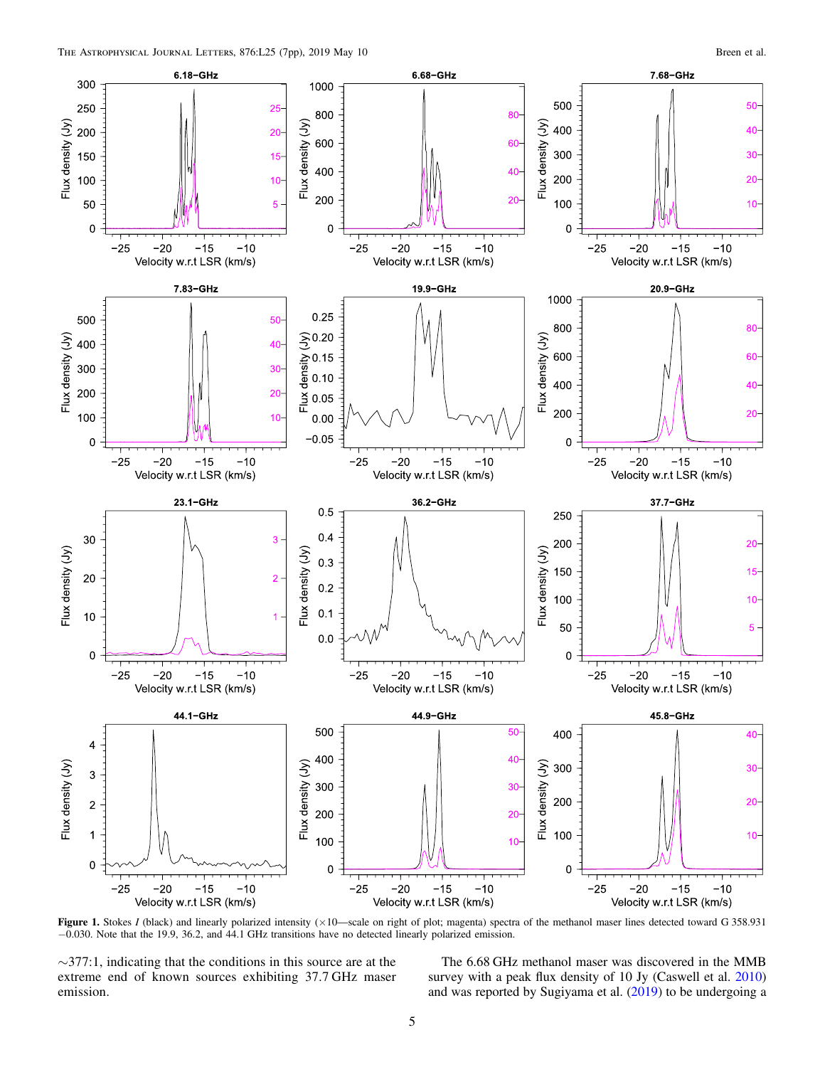<span id="page-4-0"></span>

Figure 1. Stokes I (black) and linearly polarized intensity  $(\times 10$ —scale on right of plot; magenta) spectra of the methanol maser lines detected toward G 358.931 −0.030. Note that the 19.9, 36.2, and 44.1 GHz transitions have no detected linearly polarized emission.

∼377:1, indicating that the conditions in this source are at the extreme end of known sources exhibiting 37.7 GHz maser emission.

The 6.68 GHz methanol maser was discovered in the MMB survey with a peak flux density of 10 Jy (Caswell et al. [2010](#page-6-0)) and was reported by Sugiyama et al. ([2019](#page-6-0)) to be undergoing a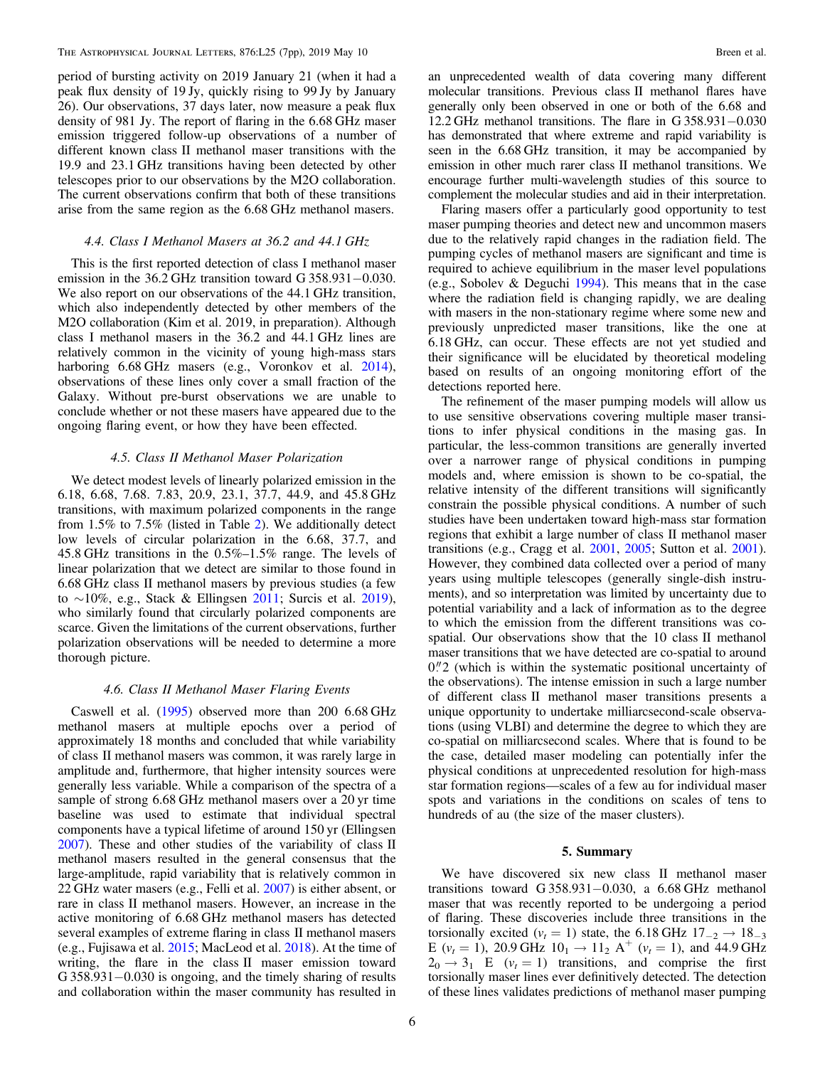period of bursting activity on 2019 January 21 (when it had a peak flux density of 19 Jy, quickly rising to 99 Jy by January 26). Our observations, 37 days later, now measure a peak flux density of 981 Jy. The report of flaring in the 6.68 GHz maser emission triggered follow-up observations of a number of different known class II methanol maser transitions with the 19.9 and 23.1 GHz transitions having been detected by other telescopes prior to our observations by the M2O collaboration. The current observations confirm that both of these transitions arise from the same region as the 6.68 GHz methanol masers.

#### 4.4. Class I Methanol Masers at 36.2 and 44.1 GHz

This is the first reported detection of class I methanol maser emission in the 36.2 GHz transition toward G 358.931−0.030. We also report on our observations of the 44.1 GHz transition, which also independently detected by other members of the M2O collaboration (Kim et al. 2019, in preparation). Although class I methanol masers in the 36.2 and 44.1 GHz lines are relatively common in the vicinity of young high-mass stars harboring 6.68 GHz masers (e.g., Voronkov et al. [2014](#page-6-0)), observations of these lines only cover a small fraction of the Galaxy. Without pre-burst observations we are unable to conclude whether or not these masers have appeared due to the ongoing flaring event, or how they have been effected.

## 4.5. Class II Methanol Maser Polarization

We detect modest levels of linearly polarized emission in the 6.18, 6.68, 7.68. 7.83, 20.9, 23.1, 37.7, 44.9, and 45.8 GHz transitions, with maximum polarized components in the range from 1.5% to 7.5% (listed in Table [2](#page-3-0)). We additionally detect low levels of circular polarization in the 6.68, 37.7, and 45.8 GHz transitions in the 0.5%–1.5% range. The levels of linear polarization that we detect are similar to those found in 6.68 GHz class II methanol masers by previous studies (a few to ∼10%, e.g., Stack & Ellingsen [2011;](#page-6-0) Surcis et al. [2019](#page-6-0)), who similarly found that circularly polarized components are scarce. Given the limitations of the current observations, further polarization observations will be needed to determine a more thorough picture.

# 4.6. Class II Methanol Maser Flaring Events

Caswell et al. ([1995](#page-6-0)) observed more than 200 6.68 GHz methanol masers at multiple epochs over a period of approximately 18 months and concluded that while variability of class II methanol masers was common, it was rarely large in amplitude and, furthermore, that higher intensity sources were generally less variable. While a comparison of the spectra of a sample of strong 6.68 GHz methanol masers over a 20 yr time baseline was used to estimate that individual spectral components have a typical lifetime of around 150 yr (Ellingsen [2007](#page-6-0)). These and other studies of the variability of class II methanol masers resulted in the general consensus that the large-amplitude, rapid variability that is relatively common in 22 GHz water masers (e.g., Felli et al. [2007](#page-6-0)) is either absent, or rare in class II methanol masers. However, an increase in the active monitoring of 6.68 GHz methanol masers has detected several examples of extreme flaring in class II methanol masers (e.g., Fujisawa et al. [2015;](#page-6-0) MacLeod et al. [2018](#page-6-0)). At the time of writing, the flare in the class II maser emission toward G 358.931−0.030 is ongoing, and the timely sharing of results and collaboration within the maser community has resulted in

an unprecedented wealth of data covering many different molecular transitions. Previous class II methanol flares have generally only been observed in one or both of the 6.68 and 12.2 GHz methanol transitions. The flare in G 358.931−0.030 has demonstrated that where extreme and rapid variability is seen in the 6.68 GHz transition, it may be accompanied by emission in other much rarer class II methanol transitions. We encourage further multi-wavelength studies of this source to complement the molecular studies and aid in their interpretation.

Flaring masers offer a particularly good opportunity to test maser pumping theories and detect new and uncommon masers due to the relatively rapid changes in the radiation field. The pumping cycles of methanol masers are significant and time is required to achieve equilibrium in the maser level populations (e.g., Sobolev & Deguchi [1994](#page-6-0)). This means that in the case where the radiation field is changing rapidly, we are dealing with masers in the non-stationary regime where some new and previously unpredicted maser transitions, like the one at 6.18 GHz, can occur. These effects are not yet studied and their significance will be elucidated by theoretical modeling based on results of an ongoing monitoring effort of the detections reported here.

The refinement of the maser pumping models will allow us to use sensitive observations covering multiple maser transitions to infer physical conditions in the masing gas. In particular, the less-common transitions are generally inverted over a narrower range of physical conditions in pumping models and, where emission is shown to be co-spatial, the relative intensity of the different transitions will significantly constrain the possible physical conditions. A number of such studies have been undertaken toward high-mass star formation regions that exhibit a large number of class II methanol maser transitions (e.g., Cragg et al. [2001,](#page-6-0) [2005;](#page-6-0) Sutton et al. [2001](#page-6-0)). However, they combined data collected over a period of many years using multiple telescopes (generally single-dish instruments), and so interpretation was limited by uncertainty due to potential variability and a lack of information as to the degree to which the emission from the different transitions was cospatial. Our observations show that the 10 class II methanol maser transitions that we have detected are co-spatial to around  $0\rlap.{''}2$  (which is within the systematic positional uncertainty of the observations). The intense emission in such a large number of different class II methanol maser transitions presents a unique opportunity to undertake milliarcsecond-scale observations (using VLBI) and determine the degree to which they are co-spatial on milliarcsecond scales. Where that is found to be the case, detailed maser modeling can potentially infer the physical conditions at unprecedented resolution for high-mass star formation regions—scales of a few au for individual maser spots and variations in the conditions on scales of tens to hundreds of au (the size of the maser clusters).

#### 5. Summary

We have discovered six new class II methanol maser transitions toward G 358.931−0.030, a 6.68 GHz methanol maser that was recently reported to be undergoing a period of flaring. These discoveries include three transitions in the torsionally excited ( $v_t = 1$ ) state, the 6.18 GHz  $17_{-2} \rightarrow 18_{-3}$ E ( $v_t = 1$ ), 20.9 GHz  $10_1 \rightarrow 11_2$  A<sup>+</sup> ( $v_t = 1$ ), and 44.9 GHz  $2_0 \rightarrow 3_1$  E ( $v_t = 1$ ) transitions, and comprise the first torsionally maser lines ever definitively detected. The detection of these lines validates predictions of methanol maser pumping